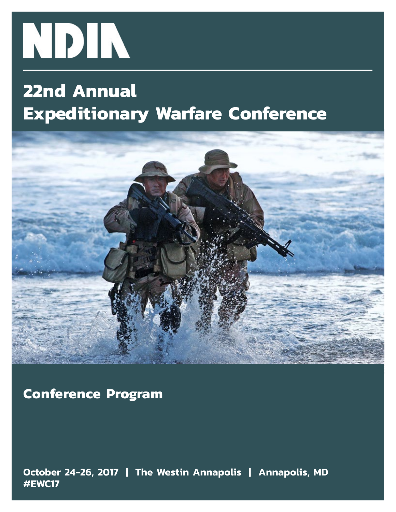

# **22nd Annual Expeditionary Warfare Conference**



**Conference Program**

**October 24-26, 2017 | The Westin Annapolis | Annapolis, MD #EWC17**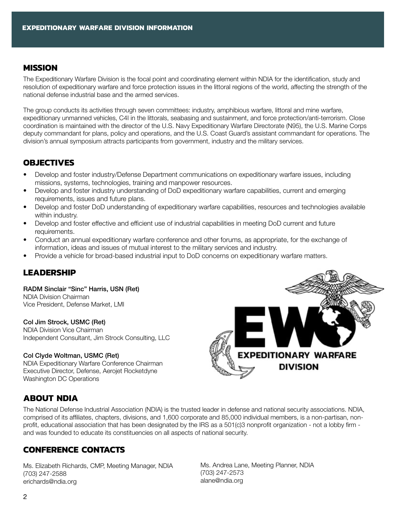#### **mISSION**

The Expeditionary Warfare Division is the focal point and coordinating element within NDIA for the identification, study and resolution of expeditionary warfare and force protection issues in the littoral regions of the world, affecting the strength of the national defense industrial base and the armed services.

The group conducts its activities through seven committees: industry, amphibious warfare, littoral and mine warfare, expeditionary unmanned vehicles, C4I in the littorals, seabasing and sustainment, and force protection/anti-terrorism. Close coordination is maintained with the director of the U.S. Navy Expeditionary Warfare Directorate (N95), the U.S. Marine Corps deputy commandant for plans, policy and operations, and the U.S. Coast Guard's assistant commandant for operations. The division's annual symposium attracts participants from government, industry and the military services.

#### **oBJECTIVES**

- Develop and foster industry/Defense Department communications on expeditionary warfare issues, including missions, systems, technologies, training and manpower resources.
- Develop and foster industry understanding of DoD expeditionary warfare capabilities, current and emerging requirements, issues and future plans.
- • Develop and foster DoD understanding of expeditionary warfare capabilities, resources and technologies available within industry.
- Develop and foster effective and efficient use of industrial capabilities in meeting DoD current and future requirements.
- Conduct an annual expeditionary warfare conference and other forums, as appropriate, for the exchange of information, ideas and issues of mutual interest to the military services and industry.
- Provide a vehicle for broad-based industrial input to DoD concerns on expeditionary warfare matters.

#### **Leadership**

RADM Sinclair "Sinc" Harris, USN (Ret) NDIA Division Chairman Vice President, Defense Market, LMI

#### Col Jim Strock, USMC (Ret)

NDIA Division Vice Chairman Independent Consultant, Jim Strock Consulting, LLC

#### Col Clyde Woltman, USMC (Ret)

NDIA Expeditionary Warfare Conference Chairman Executive Director, Defense, Aerojet Rocketdyne Washington DC Operations



#### **About NDIA**

The National Defense Industrial Association (NDIA) is the trusted leader in defense and national security associations. NDIA, comprised of its affiliates, chapters, divisions, and 1,600 corporate and 85,000 individual members, is a non-partisan, nonprofit, educational association that has been designated by the IRS as a 501(c)3 nonprofit organization - not a lobby firm and was founded to educate its constituencies on all aspects of national security.

#### **Conference contacts**

Ms. Elizabeth Richards, CMP, Meeting Manager, NDIA (703) 247-2588 erichards@ndia.org

Ms. Andrea Lane, Meeting Planner, NDIA (703) 247-2573 alane@ndia.org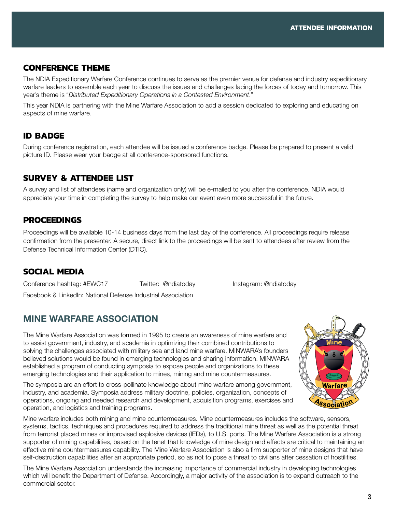#### **cONFERENCE tHEME**

The NDIA Expeditionary Warfare Conference continues to serve as the premier venue for defense and industry expeditionary warfare leaders to assemble each year to discuss the issues and challenges facing the forces of today and tomorrow. This year's theme is "*Distributed Expeditionary Operations in a Contested Environment*."

This year NDIA is partnering with the Mine Warfare Association to add a session dedicated to exploring and educating on aspects of mine warfare.

#### **id bADGE**

During conference registration, each attendee will be issued a conference badge. Please be prepared to present a valid picture ID. Please wear your badge at all conference-sponsored functions.

#### **SURVEY & ATTENDEE LIST**

A survey and list of attendees (name and organization only) will be e-mailed to you after the conference. NDIA would appreciate your time in completing the survey to help make our event even more successful in the future.

#### **Procee dings**

Proceedings will be available 10-14 business days from the last day of the conference. All proceedings require release confirmation from the presenter. A secure, direct link to the proceedings will be sent to attendees after review from the Defense Technical Information Center (DTIC).

#### **SOCIAL MEDIA**

Conference hashtag: #EWC17 Twitter: @ndiatoday Instagram: @ndiatoday Facebook & LinkedIn: National Defense Industrial Association

### Mine Warfare Association

The Mine Warfare Association was formed in 1995 to create an awareness of mine warfare and to assist government, industry, and academia in optimizing their combined contributions to solving the challenges associated with military sea and land mine warfare. MINWARA's founders believed solutions would be found in emerging technologies and sharing information. MINWARA established a program of conducting symposia to expose people and organizations to these emerging technologies and their application to mines, mining and mine countermeasures.

The symposia are an effort to cross-pollinate knowledge about mine warfare among government, industry, and academia. Symposia address military doctrine, policies, organization, concepts of operations, ongoing and needed research and development, acquisition programs, exercises and operation, and logistics and training programs.

Mine warfare includes both mining and mine countermeasures. Mine countermeasures includes the software, sensors, systems, tactics, techniques and procedures required to address the traditional mine threat as well as the potential threat from terrorist placed mines or improvised explosive devices (IEDs), to U.S. ports. The Mine Warfare Association is a strong supporter of mining capabilities, based on the tenet that knowledge of mine design and effects are critical to maintaining an effective mine countermeasures capability. The Mine Warfare Association is also a firm supporter of mine designs that have self-destruction capabilities after an appropriate period, so as not to pose a threat to civilians after cessation of hostilities.

The Mine Warfare Association understands the increasing importance of commercial industry in developing technologies which will benefit the Department of Defense. Accordingly, a major activity of the association is to expand outreach to the commercial sector.

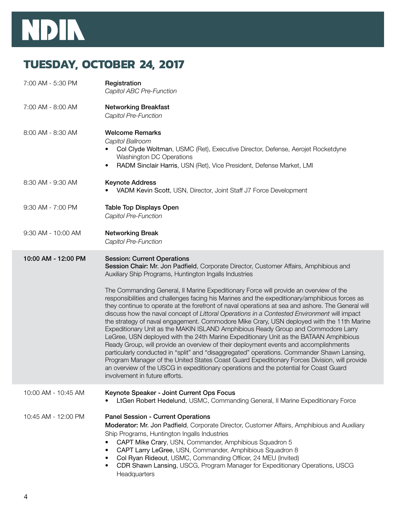# NDIN

# **TUESDAY, OCTOBER 24, 2017**

| 7:00 AM - 5:30 PM   | Registration<br>Capitol ABC Pre-Function                                                                                                                                                                                                                                                                                                                                                                                                                                                                                                                                                                                                                                                                                                                                                                                                                                                                                                                                                                                                                                                                                                                                                                                                                                        |
|---------------------|---------------------------------------------------------------------------------------------------------------------------------------------------------------------------------------------------------------------------------------------------------------------------------------------------------------------------------------------------------------------------------------------------------------------------------------------------------------------------------------------------------------------------------------------------------------------------------------------------------------------------------------------------------------------------------------------------------------------------------------------------------------------------------------------------------------------------------------------------------------------------------------------------------------------------------------------------------------------------------------------------------------------------------------------------------------------------------------------------------------------------------------------------------------------------------------------------------------------------------------------------------------------------------|
| 7:00 AM - 8:00 AM   | <b>Networking Breakfast</b><br>Capitol Pre-Function                                                                                                                                                                                                                                                                                                                                                                                                                                                                                                                                                                                                                                                                                                                                                                                                                                                                                                                                                                                                                                                                                                                                                                                                                             |
| 8:00 AM - 8:30 AM   | <b>Welcome Remarks</b><br>Capitol Ballroom<br>Col Clyde Woltman, USMC (Ret), Executive Director, Defense, Aerojet Rocketdyne<br><b>Washington DC Operations</b><br>RADM Sinclair Harris, USN (Ret), Vice President, Defense Market, LMI<br>$\bullet$                                                                                                                                                                                                                                                                                                                                                                                                                                                                                                                                                                                                                                                                                                                                                                                                                                                                                                                                                                                                                            |
| 8:30 AM - 9:30 AM   | <b>Keynote Address</b><br>VADM Kevin Scott, USN, Director, Joint Staff J7 Force Development                                                                                                                                                                                                                                                                                                                                                                                                                                                                                                                                                                                                                                                                                                                                                                                                                                                                                                                                                                                                                                                                                                                                                                                     |
| 9:30 AM - 7:00 PM   | <b>Table Top Displays Open</b><br>Capitol Pre-Function                                                                                                                                                                                                                                                                                                                                                                                                                                                                                                                                                                                                                                                                                                                                                                                                                                                                                                                                                                                                                                                                                                                                                                                                                          |
| 9:30 AM - 10:00 AM  | <b>Networking Break</b><br>Capitol Pre-Function                                                                                                                                                                                                                                                                                                                                                                                                                                                                                                                                                                                                                                                                                                                                                                                                                                                                                                                                                                                                                                                                                                                                                                                                                                 |
| 10:00 AM - 12:00 PM | <b>Session: Current Operations</b><br>Session Chair: Mr. Jon Padfield, Corporate Director, Customer Affairs, Amphibious and<br>Auxiliary Ship Programs, Huntington Ingalls Industries<br>The Commanding General, II Marine Expeditionary Force will provide an overview of the<br>responsibilities and challenges facing his Marines and the expeditionary/amphibious forces as<br>they continue to operate at the forefront of naval operations at sea and ashore. The General will<br>discuss how the naval concept of Littoral Operations in a Contested Environment will impact<br>the strategy of naval engagement. Commodore Mike Crary, USN deployed with the 11th Marine<br>Expeditionary Unit as the MAKIN ISLAND Amphibious Ready Group and Commodore Larry<br>LeGree, USN deployed with the 24th Marine Expeditionary Unit as the BATAAN Amphibious<br>Ready Group, will provide an overview of their deployment events and accomplishments<br>particularly conducted in "split" and "disaggregated" operations. Commander Shawn Lansing,<br>Program Manager of the United States Coast Guard Expeditionary Forces Division, will provide<br>an overview of the USCG in expeditionary operations and the potential for Coast Guard<br>involvement in future efforts. |
| 10:00 AM - 10:45 AM | Keynote Speaker - Joint Current Ops Focus<br>LtGen Robert Hedelund, USMC, Commanding General, II Marine Expeditionary Force                                                                                                                                                                                                                                                                                                                                                                                                                                                                                                                                                                                                                                                                                                                                                                                                                                                                                                                                                                                                                                                                                                                                                     |
| 10:45 AM - 12:00 PM | <b>Panel Session - Current Operations</b><br>Moderator: Mr. Jon Padfield, Corporate Director, Customer Affairs, Amphibious and Auxiliary<br>Ship Programs, Huntington Ingalls Industries<br>CAPT Mike Crary, USN, Commander, Amphibious Squadron 5<br>CAPT Larry LeGree, USN, Commander, Amphibious Squadron 8<br>$\bullet$<br>Col Ryan Rideout, USMC, Commanding Officer, 24 MEU (Invited)<br>٠<br>CDR Shawn Lansing, USCG, Program Manager for Expeditionary Operations, USCG<br>٠<br>Headquarters                                                                                                                                                                                                                                                                                                                                                                                                                                                                                                                                                                                                                                                                                                                                                                            |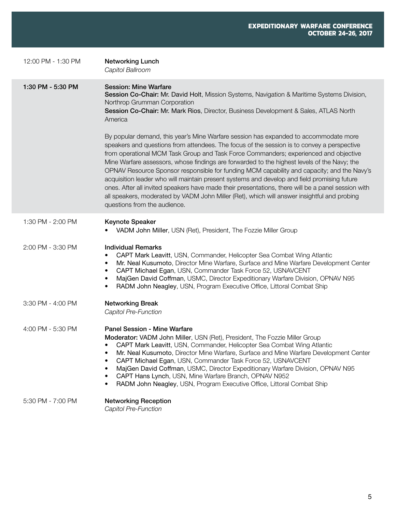| 12:00 PM - 1:30 PM | <b>Networking Lunch</b><br>Capitol Ballroom                                                                                                                                                                                                                                                                                                                                                                                                                                                                                                                                                                                                                                                                                                                                                                 |
|--------------------|-------------------------------------------------------------------------------------------------------------------------------------------------------------------------------------------------------------------------------------------------------------------------------------------------------------------------------------------------------------------------------------------------------------------------------------------------------------------------------------------------------------------------------------------------------------------------------------------------------------------------------------------------------------------------------------------------------------------------------------------------------------------------------------------------------------|
| 1:30 PM - 5:30 PM  | <b>Session: Mine Warfare</b><br>Session Co-Chair: Mr. David Holt, Mission Systems, Navigation & Maritime Systems Division,<br>Northrop Grumman Corporation<br>Session Co-Chair: Mr. Mark Rios, Director, Business Development & Sales, ATLAS North<br>America                                                                                                                                                                                                                                                                                                                                                                                                                                                                                                                                               |
|                    | By popular demand, this year's Mine Warfare session has expanded to accommodate more<br>speakers and questions from attendees. The focus of the session is to convey a perspective<br>from operational MCM Task Group and Task Force Commanders; experienced and objective<br>Mine Warfare assessors, whose findings are forwarded to the highest levels of the Navy; the<br>OPNAV Resource Sponsor responsible for funding MCM capability and capacity; and the Navy's<br>acquisition leader who will maintain present systems and develop and field promising future<br>ones. After all invited speakers have made their presentations, there will be a panel session with<br>all speakers, moderated by VADM John Miller (Ret), which will answer insightful and probing<br>questions from the audience. |
| 1:30 PM - 2:00 PM  | <b>Keynote Speaker</b><br>VADM John Miller, USN (Ret), President, The Fozzie Miller Group                                                                                                                                                                                                                                                                                                                                                                                                                                                                                                                                                                                                                                                                                                                   |
| 2:00 PM - 3:30 PM  | <b>Individual Remarks</b><br>CAPT Mark Leavitt, USN, Commander, Helicopter Sea Combat Wing Atlantic<br>$\bullet$<br>Mr. Neal Kusumoto, Director Mine Warfare, Surface and Mine Warfare Development Center<br>$\bullet$<br>CAPT Michael Egan, USN, Commander Task Force 52, USNAVCENT<br>$\bullet$<br>MajGen David Coffman, USMC, Director Expeditionary Warfare Division, OPNAV N95<br>$\bullet$<br>RADM John Neagley, USN, Program Executive Office, Littoral Combat Ship<br>$\bullet$                                                                                                                                                                                                                                                                                                                     |
| 3:30 PM - 4:00 PM  | <b>Networking Break</b><br>Capitol Pre-Function                                                                                                                                                                                                                                                                                                                                                                                                                                                                                                                                                                                                                                                                                                                                                             |
| 4:00 PM - 5:30 PM  | <b>Panel Session - Mine Warfare</b><br>Moderator: VADM John Miller, USN (Ret), President, The Fozzie Miller Group<br>CAPT Mark Leavitt, USN, Commander, Helicopter Sea Combat Wing Atlantic<br>Mr. Neal Kusumoto, Director Mine Warfare, Surface and Mine Warfare Development Center<br>٠<br>CAPT Michael Egan, USN, Commander Task Force 52, USNAVCENT<br>$\bullet$<br>MajGen David Coffman, USMC, Director Expeditionary Warfare Division, OPNAV N95<br>$\bullet$<br>CAPT Hans Lynch, USN, Mine Warfare Branch, OPNAV N952<br>$\bullet$<br>RADM John Neagley, USN, Program Executive Office, Littoral Combat Ship<br>$\bullet$                                                                                                                                                                            |
| 5:30 PM - 7:00 PM  | <b>Networking Reception</b><br>Capitol Pre-Function                                                                                                                                                                                                                                                                                                                                                                                                                                                                                                                                                                                                                                                                                                                                                         |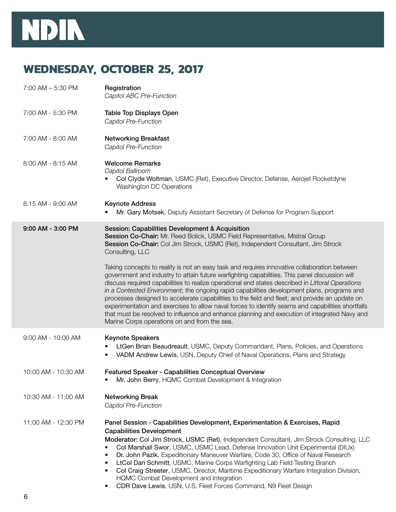

# **WEDNESDAY, OCTOBER 25, 2017**

| $7:00$ AM $-5:30$ PM | Registration<br>Capitol ABC Pre-Function                                                                                                                                                                                                                                                                                                                                                                                                                                                                                                                                                                                                                                                                                                               |
|----------------------|--------------------------------------------------------------------------------------------------------------------------------------------------------------------------------------------------------------------------------------------------------------------------------------------------------------------------------------------------------------------------------------------------------------------------------------------------------------------------------------------------------------------------------------------------------------------------------------------------------------------------------------------------------------------------------------------------------------------------------------------------------|
| 7:00 AM - 5:30 PM    | <b>Table Top Displays Open</b><br>Capitol Pre-Function                                                                                                                                                                                                                                                                                                                                                                                                                                                                                                                                                                                                                                                                                                 |
| 7:00 AM - 8:00 AM    | <b>Networking Breakfast</b><br>Capitol Pre-Function                                                                                                                                                                                                                                                                                                                                                                                                                                                                                                                                                                                                                                                                                                    |
| 8:00 AM - 8:15 AM    | <b>Welcome Remarks</b><br>Capitol Ballroom<br>Col Clyde Woltman, USMC (Ret), Executive Director, Defense, Aerojet Rocketdyne<br>Washington DC Operations                                                                                                                                                                                                                                                                                                                                                                                                                                                                                                                                                                                               |
| 8:15 AM - 9:00 AM    | <b>Keynote Address</b><br>Mr. Gary Motsek, Deputy Assistant Secretary of Defense for Program Support                                                                                                                                                                                                                                                                                                                                                                                                                                                                                                                                                                                                                                                   |
| 9:00 AM - 3:00 PM    | Session: Capabilities Development & Acquisition<br>Session Co-Chair: Mr. Reed Bolick, USMC Field Representative, Mistral Group<br>Session Co-Chair: Col Jim Strock, USMC (Ret), Independent Consultant, Jim Strock<br>Consulting, LLC                                                                                                                                                                                                                                                                                                                                                                                                                                                                                                                  |
|                      | Taking concepts to reality is not an easy task and requires innovative collaboration between<br>government and industry to attain future warfighting capabilities. This panel discussion will<br>discuss required capabilities to realize operational end states described in Littoral Operations<br>in a Contested Environment; the ongoing rapid capabilities development plans, programs and<br>processes designed to accelerate capabilities to the field and fleet; and provide an update on<br>experimentation and exercises to allow naval forces to identify seams and capabilities shortfalls<br>that must be resolved to influence and enhance planning and execution of integrated Navy and<br>Marine Corps operations on and from the sea. |
| 9:00 AM - 10:00 AM   | <b>Keynote Speakers</b><br>LtGen Brian Beaudreault, USMC, Deputy Commandant, Plans, Policies, and Operations<br>VADM Andrew Lewis, USN, Deputy Chief of Naval Operations, Plans and Strategy<br>٠                                                                                                                                                                                                                                                                                                                                                                                                                                                                                                                                                      |
| 10:00 AM - 10:30 AM  | <b>Featured Speaker - Capabilities Conceptual Overview</b><br>Mr. John Berry, HQMC Combat Development & Integration                                                                                                                                                                                                                                                                                                                                                                                                                                                                                                                                                                                                                                    |
| 10:30 AM - 11:00 AM  | <b>Networking Break</b><br>Capitol Pre-Function                                                                                                                                                                                                                                                                                                                                                                                                                                                                                                                                                                                                                                                                                                        |
| 11:00 AM - 12:30 PM  | Panel Session - Capabilities Development, Experimentation & Exercises, Rapid<br><b>Capabilities Development</b><br>Moderator: Col Jim Strock, USMC (Ret), Independent Consultant, Jim Strock Consulting, LLC<br>Col Marshall Swor, USMC, USMC Lead, Defense Innovation Unit Experimental (DIUx)<br>Dr. John Pazik, Expeditionary Maneuver Warfare, Code 30, Office of Naval Research<br>LtCol Dan Schmitt, USMC, Marine Corps Warfighting Lab Field Testing Branch<br>٠<br>Col Craig Streeter, USMC, Director, Maritime Expeditionary Warfare Integration Division,<br>٠<br>HQMC Combat Development and Integration<br>CDR Dave Lewis, USN, U.S. Fleet Forces Command, N9 Fleet Design<br>٠                                                            |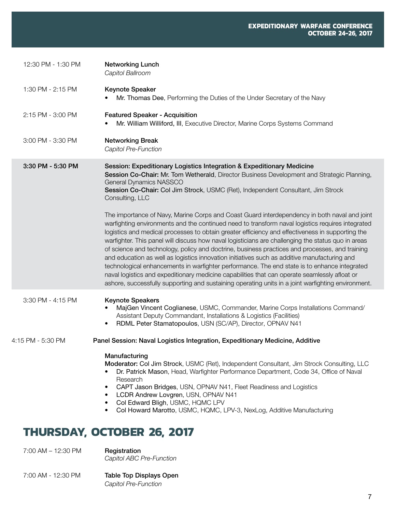| 12:30 PM - 1:30 PM | <b>Networking Lunch</b><br>Capitol Ballroom                                                                                                                                                                                                                                                                                                                                                                                                                                                                                                                                                                                                                                                                                                                                                                                                                                                                                                                                                                                                                                                                                                                                                                                  |
|--------------------|------------------------------------------------------------------------------------------------------------------------------------------------------------------------------------------------------------------------------------------------------------------------------------------------------------------------------------------------------------------------------------------------------------------------------------------------------------------------------------------------------------------------------------------------------------------------------------------------------------------------------------------------------------------------------------------------------------------------------------------------------------------------------------------------------------------------------------------------------------------------------------------------------------------------------------------------------------------------------------------------------------------------------------------------------------------------------------------------------------------------------------------------------------------------------------------------------------------------------|
| 1:30 PM - 2:15 PM  | <b>Keynote Speaker</b><br>Mr. Thomas Dee, Performing the Duties of the Under Secretary of the Navy                                                                                                                                                                                                                                                                                                                                                                                                                                                                                                                                                                                                                                                                                                                                                                                                                                                                                                                                                                                                                                                                                                                           |
| 2:15 PM - 3:00 PM  | <b>Featured Speaker - Acquisition</b><br>Mr. William Williford, III, Executive Director, Marine Corps Systems Command                                                                                                                                                                                                                                                                                                                                                                                                                                                                                                                                                                                                                                                                                                                                                                                                                                                                                                                                                                                                                                                                                                        |
| 3:00 PM - 3:30 PM  | <b>Networking Break</b><br>Capitol Pre-Function                                                                                                                                                                                                                                                                                                                                                                                                                                                                                                                                                                                                                                                                                                                                                                                                                                                                                                                                                                                                                                                                                                                                                                              |
| 3:30 PM - 5:30 PM  | Session: Expeditionary Logistics Integration & Expeditionary Medicine<br>Session Co-Chair: Mr. Tom Wetherald, Director Business Development and Strategic Planning,<br>General Dynamics NASSCO<br>Session Co-Chair: Col Jim Strock, USMC (Ret), Independent Consultant, Jim Strock<br>Consulting, LLC<br>The importance of Navy, Marine Corps and Coast Guard interdependency in both naval and joint<br>warfighting environments and the continued need to transform naval logistics requires integrated<br>logistics and medical processes to obtain greater efficiency and effectiveness in supporting the<br>warfighter. This panel will discuss how naval logisticians are challenging the status quo in areas<br>of science and technology, policy and doctrine, business practices and processes, and training<br>and education as well as logistics innovation initiatives such as additive manufacturing and<br>technological enhancements in warfighter performance. The end state is to enhance integrated<br>naval logistics and expeditionary medicine capabilities that can operate seamlessly afloat or<br>ashore, successfully supporting and sustaining operating units in a joint warfighting environment. |
| 3:30 PM - 4:15 PM  | <b>Keynote Speakers</b><br>MajGen Vincent Coglianese, USMC, Commander, Marine Corps Installations Command/<br>Assistant Deputy Commandant, Installations & Logistics (Facilities)<br>RDML Peter Stamatopoulos, USN (SC/AP), Director, OPNAV N41<br>$\bullet$                                                                                                                                                                                                                                                                                                                                                                                                                                                                                                                                                                                                                                                                                                                                                                                                                                                                                                                                                                 |
| 4:15 PM - 5:30 PM  | Panel Session: Naval Logistics Integration, Expeditionary Medicine, Additive                                                                                                                                                                                                                                                                                                                                                                                                                                                                                                                                                                                                                                                                                                                                                                                                                                                                                                                                                                                                                                                                                                                                                 |
|                    | Manufacturing<br>Moderator: Col Jim Strock, USMC (Ret), Independent Consultant, Jim Strock Consulting, LLC<br>Dr. Patrick Mason, Head, Warfighter Performance Department, Code 34, Office of Naval<br>Research<br>CAPT Jason Bridges, USN, OPNAV N41, Fleet Readiness and Logistics<br>LCDR Andrew Lovgren, USN, OPNAV N41<br>٠<br>Col Edward Bligh, USMC, HQMC LPV<br>Col Howard Marotto, USMC, HQMC, LPV-3, NexLog, Additive Manufacturing<br>$\bullet$                                                                                                                                                                                                                                                                                                                                                                                                                                                                                                                                                                                                                                                                                                                                                                    |
|                    |                                                                                                                                                                                                                                                                                                                                                                                                                                                                                                                                                                                                                                                                                                                                                                                                                                                                                                                                                                                                                                                                                                                                                                                                                              |

# **tHURSDAY, October 26, 2017**

7:00 AM - 12:30 PM **Registration** 

*Capitol ABC Pre-Function*

7:00 AM - 12:30 PM Table Top Displays Open *Capitol Pre-Function*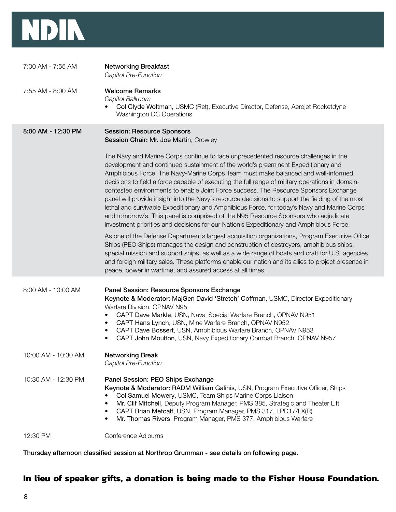

| 7:00 AM - 7:55 AM   | <b>Networking Breakfast</b><br>Capitol Pre-Function                                                                                                                                                                                                                                                                                                                                                                                                                                                                                                                                                                                                                                                                                                                                                                                              |
|---------------------|--------------------------------------------------------------------------------------------------------------------------------------------------------------------------------------------------------------------------------------------------------------------------------------------------------------------------------------------------------------------------------------------------------------------------------------------------------------------------------------------------------------------------------------------------------------------------------------------------------------------------------------------------------------------------------------------------------------------------------------------------------------------------------------------------------------------------------------------------|
| 7:55 AM - 8:00 AM   | <b>Welcome Remarks</b><br>Capitol Ballroom<br>Col Clyde Woltman, USMC (Ret), Executive Director, Defense, Aerojet Rocketdyne<br>Washington DC Operations                                                                                                                                                                                                                                                                                                                                                                                                                                                                                                                                                                                                                                                                                         |
| 8:00 AM - 12:30 PM  | <b>Session: Resource Sponsors</b><br>Session Chair: Mr. Joe Martin, Crowley                                                                                                                                                                                                                                                                                                                                                                                                                                                                                                                                                                                                                                                                                                                                                                      |
|                     | The Navy and Marine Corps continue to face unprecedented resource challenges in the<br>development and continued sustainment of the world's preeminent Expeditionary and<br>Amphibious Force. The Navy-Marine Corps Team must make balanced and well-informed<br>decisions to field a force capable of executing the full range of military operations in domain-<br>contested environments to enable Joint Force success. The Resource Sponsors Exchange<br>panel will provide insight into the Navy's resource decisions to support the fielding of the most<br>lethal and survivable Expeditionary and Amphibious Force, for today's Navy and Marine Corps<br>and tomorrow's. This panel is comprised of the N95 Resource Sponsors who adjudicate<br>investment priorities and decisions for our Nation's Expeditionary and Amphibious Force. |
|                     | As one of the Defense Department's largest acquisition organizations, Program Executive Office<br>Ships (PEO Ships) manages the design and construction of destroyers, amphibious ships,<br>special mission and support ships, as well as a wide range of boats and craft for U.S. agencies<br>and foreign military sales. These platforms enable our nation and its allies to project presence in<br>peace, power in wartime, and assured access at all times.                                                                                                                                                                                                                                                                                                                                                                                  |
| 8:00 AM - 10:00 AM  | Panel Session: Resource Sponsors Exchange<br>Keynote & Moderator: MajGen David 'Stretch' Coffman, USMC, Director Expeditionary<br>Warfare Division, OPNAV N95<br>CAPT Dave Markle, USN, Naval Special Warfare Branch, OPNAV N951<br>٠<br>CAPT Hans Lynch, USN, Mine Warfare Branch, OPNAV N952<br>٠<br>CAPT Dave Bossert, USN, Amphibious Warfare Branch, OPNAV N953<br>$\bullet$<br>CAPT John Moulton, USN, Navy Expeditionary Combat Branch, OPNAV N957<br>٠                                                                                                                                                                                                                                                                                                                                                                                   |
| 10:00 AM - 10:30 AM | <b>Networking Break</b><br>Capitol Pre-Function                                                                                                                                                                                                                                                                                                                                                                                                                                                                                                                                                                                                                                                                                                                                                                                                  |
| 10:30 AM - 12:30 PM | Panel Session: PEO Ships Exchange<br>Keynote & Moderator: RADM William Galinis, USN, Program Executive Officer, Ships<br>Col Samuel Mowery, USMC, Team Ships Marine Corps Liaison<br>Mr. Clif Mitchell, Deputy Program Manager, PMS 385, Strategic and Theater Lift<br>CAPT Brian Metcalf, USN, Program Manager, PMS 317, LPD17/LX(R)<br>$\bullet$<br>Mr. Thomas Rivers, Program Manager, PMS 377, Amphibious Warfare<br>٠                                                                                                                                                                                                                                                                                                                                                                                                                       |
| 12:30 PM            | Conference Adjourns                                                                                                                                                                                                                                                                                                                                                                                                                                                                                                                                                                                                                                                                                                                                                                                                                              |

Thursday afternoon classified session at Northrop Grumman - see details on following page.

# **In lieu of speaker gifts, a donation is being made to the Fisher House Foundation.**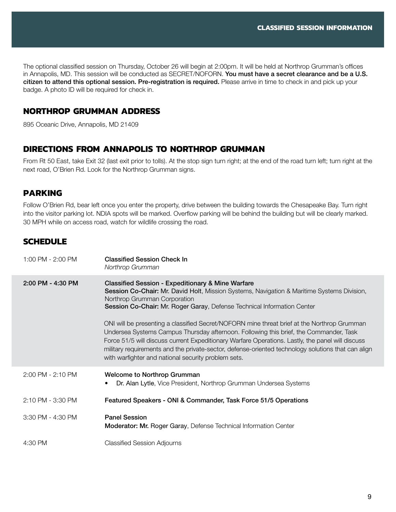The optional classified session on Thursday, October 26 will begin at 2:00pm. It will be held at Northrop Grumman's offices in Annapolis, MD. This session will be conducted as SECRET/NOFORN. You must have a secret clearance and be a U.S. citizen to attend this optional session. Pre-registration is required. Please arrive in time to check in and pick up your badge. A photo ID will be required for check in.

#### **Northrop Grumman Address**

895 Oceanic Drive, Annapolis, MD 21409

#### **Directions from Annapolis to Northrop Grumman**

From Rt 50 East, take Exit 32 (last exit prior to tolls). At the stop sign turn right; at the end of the road turn left; turn right at the next road, O'Brien Rd. Look for the Northrop Grumman signs.

#### **Parking**

Follow O'Brien Rd, bear left once you enter the property, drive between the building towards the Chesapeake Bay. Turn right into the visitor parking lot. NDIA spots will be marked. Overflow parking will be behind the building but will be clearly marked. 30 MPH while on access road, watch for wildlife crossing the road.

#### **schedule**

| 1:00 PM - 2:00 PM | <b>Classified Session Check In</b><br>Northrop Grumman                                                                                                                                                                                                                                                                                                                                                                                                |
|-------------------|-------------------------------------------------------------------------------------------------------------------------------------------------------------------------------------------------------------------------------------------------------------------------------------------------------------------------------------------------------------------------------------------------------------------------------------------------------|
| 2:00 PM - 4:30 PM | <b>Classified Session - Expeditionary &amp; Mine Warfare</b><br>Session Co-Chair: Mr. David Holt, Mission Systems, Navigation & Maritime Systems Division,<br>Northrop Grumman Corporation<br>Session Co-Chair: Mr. Roger Garay, Defense Technical Information Center                                                                                                                                                                                 |
|                   | ONI will be presenting a classified Secret/NOFORN mine threat brief at the Northrop Grumman<br>Undersea Systems Campus Thursday afternoon. Following this brief, the Commander, Task<br>Force 51/5 will discuss current Expeditionary Warfare Operations. Lastly, the panel will discuss<br>military requirements and the private-sector, defense-oriented technology solutions that can align<br>with warfighter and national security problem sets. |
| 2:00 PM - 2:10 PM | Welcome to Northrop Grumman<br>Dr. Alan Lytle, Vice President, Northrop Grumman Undersea Systems                                                                                                                                                                                                                                                                                                                                                      |
| 2:10 PM - 3:30 PM | Featured Speakers - ONI & Commander, Task Force 51/5 Operations                                                                                                                                                                                                                                                                                                                                                                                       |
| 3:30 PM - 4:30 PM | <b>Panel Session</b><br>Moderator: Mr. Roger Garay, Defense Technical Information Center                                                                                                                                                                                                                                                                                                                                                              |
| 4:30 PM           | <b>Classified Session Adjourns</b>                                                                                                                                                                                                                                                                                                                                                                                                                    |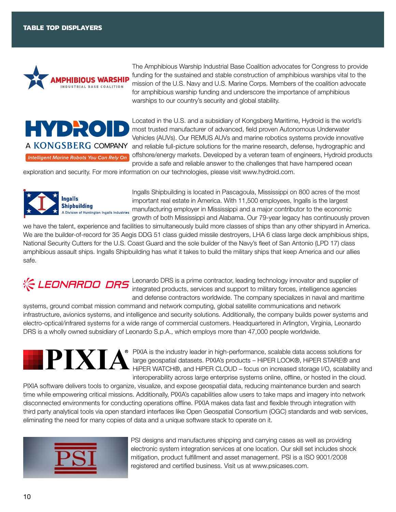

The Amphibious Warship Industrial Base Coalition advocates for Congress to provide funding for the sustained and stable construction of amphibious warships vital to the mission of the U.S. Navy and U.S. Marine Corps. Members of the coalition advocate for amphibious warship funding and underscore the importance of amphibious warships to our country's security and global stability.



Located in the U.S. and a subsidiary of Kongsberg Maritime, Hydroid is the world's most trusted manufacturer of advanced, field proven Autonomous Underwater Vehicles (AUVs). Our REMUS AUVs and marine robotics systems provide innovative and reliable full-picture solutions for the marine research, defense, hydrographic and offshore/energy markets. Developed by a veteran team of engineers, Hydroid products provide a safe and reliable answer to the challenges that have hampered ocean

exploration and security. For more information on our technologies, please visit www.hydroid.com.



Ingalls Shipbuilding is located in Pascagoula, Mississippi on 800 acres of the most important real estate in America. With 11,500 employees, Ingalls is the largest manufacturing employer in Mississippi and a major contributor to the economic growth of both Mississippi and Alabama. Our 79-year legacy has continuously proven

we have the talent, experience and facilities to simultaneously build more classes of ships than any other shipyard in America. We are the builder-of-record for 35 Aegis DDG 51 class guided missile destroyers, LHA 6 class large deck amphibious ships, National Security Cutters for the U.S. Coast Guard and the sole builder of the Navy's fleet of San Antonio (LPD 17) class amphibious assault ships. Ingalls Shipbuilding has what it takes to build the military ships that keep America and our allies safe.

LEONARDO DRS is a prime contractor, leading technology innovator and supplier of integrated products, services and support to military forces, intelligence agencies and defense contractors worldwide. The company specializes in naval and maritime

systems, ground combat mission command and network computing, global satellite communications and network infrastructure, avionics systems, and intelligence and security solutions. Additionally, the company builds power systems and electro-optical/infrared systems for a wide range of commercial customers. Headquartered in Arlington, Virginia, Leonardo DRS is a wholly owned subsidiary of Leonardo S.p.A., which employs more than 47,000 people worldwide.



**•** PIXIA is the industry leader in high-performance, scalable data access solutions for large geospatial datasets. PIXIA's products – HiPER LOOK®, HiPER STARE® and HiPER WATCH®, and HiPER CLOUD – focus on increased storage I/O, scalability and interoperability across large enterprise systems online, offline, or hosted in the cloud.

PIXIA software delivers tools to organize, visualize, and expose geospatial data, reducing maintenance burden and search time while empowering critical missions. Additionally, PIXIA's capabilities allow users to take maps and imagery into network disconnected environments for conducting operations offline. PIXIA makes data fast and flexible through integration with third party analytical tools via open standard interfaces like Open Geospatial Consortium (OGC) standards and web services, eliminating the need for many copies of data and a unique software stack to operate on it.



PSI designs and manufactures shipping and carrying cases as well as providing electronic system integration services at one location. Our skill set includes shock mitigation, product fulfillment and asset management. PSI is a ISO 9001/2008 registered and certified business. Visit us at www.psicases.com.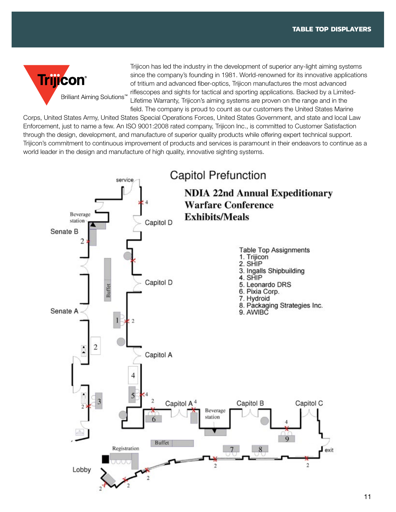

Trijicon has led the industry in the development of superior any-light aiming systems since the company's founding in 1981. World-renowned for its innovative applications of tritium and advanced fiber-optics, Trijicon manufactures the most advanced riflescopes and sights for tactical and sporting applications. Backed by a Limited-Lifetime Warranty, Trijicon's aiming systems are proven on the range and in the field. The company is proud to count as our customers the United States Marine

Corps, United States Army, United States Special Operations Forces, United States Government, and state and local Law Enforcement, just to name a few. An ISO 9001:2008 rated company, Trijicon Inc., is committed to Customer Satisfaction through the design, development, and manufacture of superior quality products while offering expert technical support. Trijicon's commitment to continuous improvement of products and services is paramount in their endeavors to continue as a world leader in the design and manufacture of high quality, innovative sighting systems.

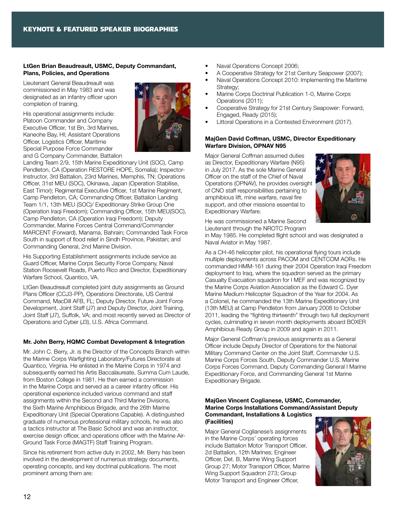#### LtGen Brian Beaudreault, USMC, Deputy Commandant, Plans, Policies, and Operations

Lieutenant General Beaudreault was commissioned in May 1983 and was designated as an infantry officer upon completion of training.

His operational assignments include: Platoon Commander and Company Executive Officer, 1st Bn, 3rd Marines, Kaneohe Bay, HI; Assistant Operations Officer, Logistics Officer, Maritime Special Purpose Force Commander and G Company Commander, Battalion



Landing Team 2/9, 15th Marine Expeditionary Unit (SOC), Camp Pendleton, CA (Operation RESTORE HOPE, Somalia); Inspector-Instructor, 3rd Battalion, 23rd Marines, Memphis, TN; Operations Officer, 31st MEU (SOC), Okinawa, Japan (Operation Stabilise, East Timor); Regimental Executive Officer, 1st Marine Regiment, Camp Pendleton, CA; Commanding Officer, Battalion Landing Team 1/1, 13th MEU (SOC)/ Expeditionary Strike Group One (Operation Iraqi Freedom); Commanding Officer, 15th MEU(SOC), Camp Pendleton, CA (Operation Iraqi Freedom); Deputy Commander, Marine Forces Central Command/Commander MARCENT (Forward), Manama, Bahrain; Commanded Task Force South in support of flood relief in Sindh Province, Pakistan; and Commanding General, 2nd Marine Division.

His Supporting Establishment assignments include service as Guard Officer, Marine Corps Security Force Company, Naval Station Roosevelt Roads, Puerto Rico and Director, Expeditionary Warfare School, Quantico, VA.

LtGen Beaudreault completed joint duty assignments as Ground Plans Officer (CCJ3-PP), Operations Directorate, US Central Command, MacDill AFB, FL; Deputy Director, Future Joint Force Development, Joint Staff (J7) and Deputy Director, Joint Training, Joint Staff (J7), Suffolk, VA; and most recently served as Director of Operations and Cyber (J3), U.S. Africa Command.

#### Mr. John Berry, HQMC Combat Development & Integration

Mr. John C. Berry, Jr. is the Director of the Concepts Branch within the Marine Corps Warfighting Laboratory/Futures Directorate at Quantico, Virginia. He enlisted in the Marine Corps in 1974 and subsequently earned his Artis Baccalaureate, Summa Cum Laude, from Boston College in 1981. He then earned a commission in the Marine Corps and served as a career infantry officer. His operational experience included various command and staff assignments within the Second and Third Marine Divisions, the Sixth Marine Amphibious Brigade, and the 26th Marine Expeditionary Unit (Special Operations Capable). A distinguished graduate of numerous professional military schools, he was also a tactics instructor at The Basic School and was an instructor, exercise design officer, and operations officer with the Marine Air-Ground Task Force (MAGTF) Staff Training Program.

Since his retirement from active duty in 2002, Mr. Berry has been involved in the development of numerous strategy documents, operating concepts, and key doctrinal publications. The most prominent among them are:

- Naval Operations Concept 2006;
- A Cooperative Strategy for 21st Century Seapower (2007);
- Naval Operations Concept 2010: Implementing the Maritime Strategy:
- Marine Corps Doctrinal Publication 1-0, Marine Corps Operations (2011);
- Cooperative Strategy for 21st Century Seapower: Forward, Engaged, Ready (2015);
- Littoral Operations in a Contested Environment (2017).

#### MajGen David Coffman, USMC, Director Expeditionary Warfare Division, OPNAV N95

Major General Coffman assumed duties as Director, Expeditionary Warfare (N95) in July 2017. As the sole Marine General Officer on the staff of the Chief of Naval Operations (OPNAV), he provides oversight of CNO staff responsibilities pertaining to amphibious lift, mine warfare, naval fire support, and other missions essential to Expeditionary Warfare.



He was commissioned a Marine Second Lieutenant through the NROTC Program

in May 1985. He completed flight school and was designated a Naval Aviator in May 1987.

As a CH-46 helicopter pilot, his operational flying tours include multiple deployments across PACOM and CENTCOM AORs. He commanded HMM-161 during their 2004 Operation Iraqi Freedom deployment to Iraq, where the squadron served as the primary Casualty Evacuation squadron for I MEF and was recognized by the Marine Corps Aviation Association as the Edward C. Dyer Marine Medium Helicopter Squadron of the Year for 2004. As a Colonel, he commanded the 13th Marine Expeditionary Unit (13th MEU) at Camp Pendleton from January 2008 to October 2011, leading the "fighting thirteenth" through two full deployment cycles, culminating in seven month deployments aboard BOXER Amphibious Ready Group in 2009 and again in 2011.

Major General Coffman's previous assignments as a General Officer include Deputy Director of Operations for the National Military Command Center on the Joint Staff, Commander U.S. Marine Corps Forces South, Deputy Commander U.S. Marine Corps Forces Command, Deputy Commanding General I Marine Expeditionary Force, and Commanding General 1st Marine Expeditionary Brigade.

#### MajGen Vincent Coglianese, USMC, Commander, Marine Corps Installations Command/Assistant Deputy Commandant, Installations & Logistics (Facilities)

Major General Coglianese's assignments in the Marine Corps' operating forces include Battalion Motor Transport Officer, 2d Battalion, 12th Marines; Engineer Officer, Det. B, Marine Wing Support Group 27; Motor Transport Officer, Marine Wing Support Squadron 273; Group Motor Transport and Engineer Officer,

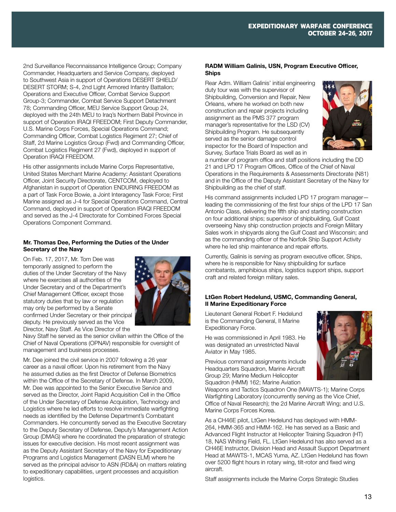2nd Surveillance Reconnaissance Intelligence Group; Company Commander, Headquarters and Service Company, deployed to Southwest Asia in support of Operations DESERT SHIELD/ DESERT STORM; S-4, 2nd Light Armored Infantry Battalion; Operations and Executive Officer, Combat Service Support Group-3; Commander, Combat Service Support Detachment 78; Commanding Officer, MEU Service Support Group 24, deployed with the 24th MEU to Iraq's Northern Babil Province in support of Operation IRAQI FREEDOM; First Deputy Commander, U.S. Marine Corps Forces, Special Operations Command; Commanding Officer, Combat Logistics Regiment 27; Chief of Staff, 2d Marine Logistics Group (Fwd) and Commanding Officer, Combat Logistics Regiment 27 (Fwd), deployed in support of Operation IRAQI FREEDOM.

His other assignments include Marine Corps Representative, United States Merchant Marine Academy: Assistant Operations Officer, Joint Security Directorate, CENTCOM, deployed to Afghanistan in support of Operation ENDURING FREEDOM as a part of Task Force Bowie, a Joint Interagency Task Force; First Marine assigned as J-4 for Special Operations Command, Central Command, deployed in support of Operation IRAQI FREEDOM and served as the J-4 Directorate for Combined Forces Special Operations Component Command.

#### Mr. Thomas Dee, Performing the Duties of the Under Secretary of the Navy

On Feb. 17, 2017, Mr. Tom Dee was temporarily assigned to perform the duties of the Under Secretary of the Navy where he exercises all authorities of the Under Secretary and of the Department's Chief Management Officer, except those statutory duties that by law or regulation may only be performed by a Senate confirmed Under Secretary or their principal deputy. He previously served as the Vice Director, Navy Staff. As Vice Director of the



Navy Staff he served as the senior civilian within the Office of the Chief of Naval Operations (OPNAV) responsible for oversight of management and business processes.

Mr. Dee joined the civil service in 2007 following a 26 year career as a naval officer. Upon his retirement from the Navy he assumed duties as the first Director of Defense Biometrics within the Office of the Secretary of Defense. In March 2009, Mr. Dee was appointed to the Senior Executive Service and served as the Director, Joint Rapid Acquisition Cell in the Office of the Under Secretary of Defense Acquisition, Technology and Logistics where he led efforts to resolve immediate warfighting needs as identified by the Defense Department's Combatant Commanders. He concurrently served as the Executive Secretary to the Deputy Secretary of Defense, Deputy's Management Action Group (DMAG) where he coordinated the preparation of strategic issues for executive decision. His most recent assignment was as the Deputy Assistant Secretary of the Navy for Expeditionary Programs and Logistics Management (DASN ELM) where he served as the principal advisor to ASN (RD&A) on matters relating to expeditionary capabilities, urgent processes and acquisition logistics.

#### RADM William Galinis, USN, Program Executive Officer, **Ships**

Rear Adm. William Galinis' initial engineering duty tour was with the supervisor of Shipbuilding, Conversion and Repair, New Orleans, where he worked on both new construction and repair projects including assignment as the PMS 377 program manager's representative for the LSD (CV) Shipbuilding Program. He subsequently served as the senior damage control inspector for the Board of Inspection and Survey, Surface Trials Board as well as in



a number of program office and staff positions including the DD 21 and LPD 17 Program Offices, Office of the Chief of Naval Operations in the Requirements & Assessments Directorate (N81) and in the Office of the Deputy Assistant Secretary of the Navy for Shipbuilding as the chief of staff.

His command assignments included LPD 17 program managerleading the commissioning of the first four ships of the LPD 17 San Antonio Class, delivering the fifth ship and starting construction on four additional ships; supervisor of shipbuilding, Gulf Coast overseeing Navy ship construction projects and Foreign Military Sales work in shipyards along the Gulf Coast and Wisconsin; and as the commanding officer of the Norfolk Ship Support Activity where he led ship maintenance and repair efforts.

Currently, Galinis is serving as program executive officer, Ships, where he is responsible for Navy shipbuilding for surface combatants, amphibious ships, logistics support ships, support craft and related foreign military sales.

#### LtGen Robert Hedelund, USMC, Commanding General, II Marine Expeditionary Force

Lieutenant General Robert F. Hedelund is the Commanding General, II Marine Expeditionary Force.

He was commissioned in April 1983. He was designated an unrestricted Naval Aviator in May 1985.

Previous command assignments include Headquarters Squadron, Marine Aircraft Group 29; Marine Medium Helicopter Squadron (HMM) 162; Marine Aviation



Weapons and Tactics Squadron One (MAWTS-1); Marine Corps Warfighting Laboratory (concurrently serving as the Vice Chief, Office of Naval Research); the 2d Marine Aircraft Wing; and U.S. Marine Corps Forces Korea.

As a CH46E pilot, LtGen Hedelund has deployed with HMM-264, HMM-365 and HMM-162. He has served as a Basic and Advanced Flight Instructor at Helicopter Training Squadron (HT) 18, NAS Whiting Field, FL. LtGen Hedelund has also served as a CH46E Instructor, Division Head and Assault Support Department Head at MAWTS-1, MCAS Yuma, AZ. LtGen Hedelund has flown over 5200 flight hours in rotary wing, tilt-rotor and fixed wing aircraft.

Staff assignments include the Marine Corps Strategic Studies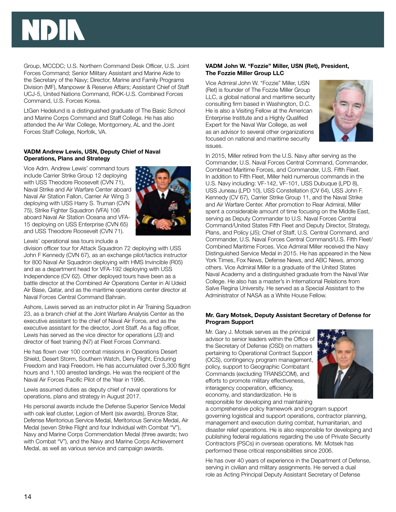Group, MCCDC; U.S. Northern Command Desk Officer, U.S. Joint Forces Command; Senior Military Assistant and Marine Aide to the Secretary of the Navy; Director, Marine and Family Programs Division (MF), Manpower & Reserve Affairs; Assistant Chief of Staff UCJ-5, United Nations Command, ROK-U.S. Combined Forces Command, U.S. Forces Korea.

LtGen Hedelund is a distinguished graduate of The Basic School and Marine Corps Command and Staff College. He has also attended the Air War College, Montgomery, AL and the Joint Forces Staff College, Norfolk, VA.

#### VADM Andrew Lewis, USN, Deputy Chief of Naval Operations, Plans and Strategy

Vice Adm. Andrew Lewis' command tours include Carrier Strike Group 12 deploying with USS Theodore Roosevelt (CVN 71), Naval Strike and Air Warfare Center aboard Naval Air Station Fallon, Carrier Air Wing 3 deploying with USS Harry S. Truman (CVN 75), Strike Fighter Squadron (VFA) 106 aboard Naval Air Station Oceana and VFA-15 deploying on USS Enterprise (CVN 65) and USS Theodore Roosevelt (CVN 71).



Lewis' operational sea tours include a

division officer tour for Attack Squadron 72 deploying with USS John F Kennedy (CVN 67), as an exchange pilot/tactics instructor for 800 Naval Air Squadron deploying with HMS Invincible (R05) and as a department head for VFA-192 deploying with USS Independence (CV 62). Other deployed tours have been as a battle director at the Combined Air Operations Center in Al Udeid Air Base, Qatar, and as the maritime operations center director at Naval Forces Central Command Bahrain.

Ashore, Lewis served as an instructor pilot in Air Training Squadron 23, as a branch chief at the Joint Warfare Analysis Center as the executive assistant to the chief of Naval Air Force, and as the executive assistant for the director, Joint Staff. As a flag officer, Lewis has served as the vice director for operations (J3) and director of fleet training (N7) at Fleet Forces Command.

He has flown over 100 combat missions in Operations Desert Shield, Desert Storm, Southern Watch, Deny Flight, Enduring Freedom and Iraqi Freedom. He has accumulated over 5,300 flight hours and 1,100 arrested landings. He was the recipient of the Naval Air Forces Pacific Pilot of the Year in 1996.

Lewis assumed duties as deputy chief of naval operations for operations, plans and strategy in August 2017.

His personal awards include the Defense Superior Service Medal with oak leaf cluster, Legion of Merit (six awards), Bronze Star, Defense Meritorious Service Medal, Meritorious Service Medal, Air Medal (seven Strike Flight and four Individual with Combat "V"), Navy and Marine Corps Commendation Medal (three awards; two with Combat "V"), and the Navy and Marine Corps Achievement Medal, as well as various service and campaign awards.

#### VADM John W. "Fozzie" Miller, USN (Ret), President, The Fozzie Miller Group LLC

Vice Admiral John W. "Fozzie" Miller, USN (Ret) is founder of The Fozzie Miller Group LLC, a global national and maritime security consulting firm based in Washington, D.C. He is also a Visiting Fellow at the American Enterprise Institute and a Highly Qualified Expert for the Naval War College, as well as an advisor to several other organizations focused on national and maritime security issues.



In 2015, Miller retired from the U.S. Navy after serving as the Commander, U.S. Naval Forces Central Command, Commander, Combined Maritime Forces, and Commander, U.S. Fifth Fleet. In addition to Fifth Fleet, Miller held numerous commands in the U.S. Navy including: VF-142, VF-101, USS Dubuque (LPD 8), USS Juneau (LPD 10), USS Constellation (CV 64), USS John F. Kennedy (CV 67), Carrier Strike Group 11, and the Naval Strike and Air Warfare Center. After promotion to Rear Admiral, Miller spent a considerable amount of time focusing on the Middle East, serving as Deputy Commander to U.S. Naval Forces Central Command/United States Fifth Fleet and Deputy Director, Strategy, Plans, and Policy (J5); Chief of Staff, U.S. Central Command, and Commander, U.S. Naval Forces Central Command/U.S. Fifth Fleet/ Combined Maritime Forces. Vice Admiral Miller received the Navy Distinguished Service Medal in 2015. He has appeared in the New York Times, Fox News, Defense News, and ABC News, among others. Vice Admiral Miller is a graduate of the United States Naval Academy and a distinguished graduate from the Naval War College. He also has a master's in International Relations from Salve Regina University. He served as a Special Assistant to the Administrator of NASA as a White House Fellow.

#### Mr. Gary Motsek, Deputy Assistant Secretary of Defense for Program Support

Mr. Gary J. Motsek serves as the principal advisor to senior leaders within the Office of the Secretary of Defense (OSD) on matters pertaining to Operational Contract Support (OCS), contingency program management, policy, support to Geographic Combatant Commands (excluding TRANSCOM), and efforts to promote military effectiveness, interagency cooperation, efficiency, economy, and standardization. He is responsible for developing and maintaining



a comprehensive policy framework and program support governing logistical and support operations, contractor planning, management and execution during combat, humanitarian, and disaster relief operations. He is also responsible for developing and publishing federal regulations regarding the use of Private Security Contractors (PSCs) in overseas operations. Mr. Motsek has performed these critical responsibilities since 2006.

He has over 40 years of experience in the Department of Defense, serving in civilian and military assignments. He served a dual role as Acting Principal Deputy Assistant Secretary of Defense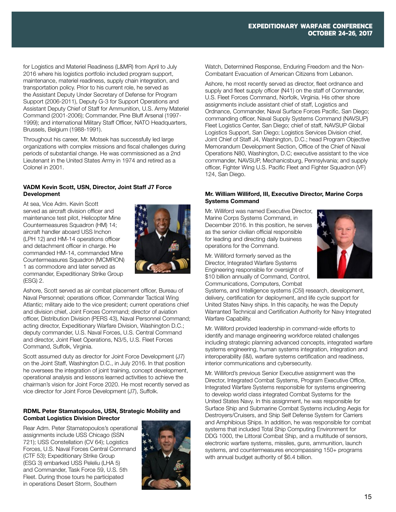for Logistics and Materiel Readiness (L&MR) from April to July 2016 where his logistics portfolio included program support, maintenance, materiel readiness, supply chain integration, and transportation policy. Prior to his current role, he served as the Assistant Deputy Under Secretary of Defense for Program Support (2006-2011), Deputy G-3 for Support Operations and Assistant Deputy Chief of Staff for Ammunition, U.S. Army Materiel Command (2001-2006); Commander, Pine Bluff Arsenal (1997- 1999); and international Military Staff Officer, NATO Headquarters, Brussels, Belgium (1988-1991).

Throughout his career, Mr. Motsek has successfully led large organizations with complex missions and fiscal challenges during periods of substantial change. He was commissioned as a 2nd Lieutenant in the United States Army in 1974 and retired as a Colonel in 2001.

#### VADM Kevin Scott, USN, Director, Joint Staff J7 Force Development

At sea, Vice Adm. Kevin Scott served as aircraft division officer and maintenance test pilot, Helicopter Mine Countermeasures Squadron (HM) 14; aircraft handler aboard USS Inchon (LPH 12) and HM-14 operations officer and detachment officer in charge. He commanded HM-14, commanded Mine Countermeasures Squadron (MCMRON) 1 as commodore and later served as commander, Expeditionary Strike Group (ESG) 2.



Ashore, Scott served as air combat placement officer, Bureau of Naval Personnel; operations officer, Commander Tactical Wing Atlantic; military aide to the vice president; current operations chief and division chief, Joint Forces Command; director of aviation officer, Distribution Division (PERS 43), Naval Personnel Command; acting director, Expeditionary Warfare Division, Washington D.C.; deputy commander, U.S. Naval Forces, U.S. Central Command and director, Joint Fleet Operations, N3/5, U.S. Fleet Forces Command, Suffolk, Virginia.

Scott assumed duty as director for Joint Force Development (J7) on the Joint Staff, Washington D.C., in July 2016. In that position he oversees the integration of joint training, concept development, operational analysis and lessons learned activities to achieve the chairman's vision for Joint Force 2020. He most recently served as vice director for Joint Force Development (J7), Suffolk.

#### RDML Peter Stamatopoulos, USN, Strategic Mobility and Combat Logistics Division Director

Rear Adm. Peter Stamatopoulos's operational assignments include USS Chicago (SSN 721); USS Constellation (CV 64); Logistics Forces, U.S. Naval Forces Central Command (CTF 53); Expeditionary Strike Group (ESG 3) embarked USS Peleliu (LHA 5) and Commander, Task Force 59, U.S. 5th Fleet. During those tours he participated in operations Desert Storm, Southern



Watch, Determined Response, Enduring Freedom and the Non-Combatant Evacuation of American Citizens from Lebanon.

Ashore, he most recently served as director, fleet ordnance and supply and fleet supply officer (N41) on the staff of Commander. U.S. Fleet Forces Command, Norfolk, Virginia. His other shore assignments include assistant chief of staff, Logistics and Ordnance, Commander, Naval Surface Forces Pacific, San Diego; commanding officer, Naval Supply Systems Command (NAVSUP) Fleet Logistics Center, San Diego; chief of staff, NAVSUP Global Logistics Support, San Diego; Logistics Services Division chief, Joint Chief of Staff J4, Washington, D.C.; head Program Objective Memorandum Development Section, Office of the Chief of Naval Operations N80, Washington, D.C; executive assistant to the vice commander, NAVSUP, Mechanicsburg, Pennsylvania; and supply officer, Fighter Wing U.S. Pacific Fleet and Fighter Squadron (VF) 124, San Diego.

#### Mr. William Williford, III, Executive Director, Marine Corps Systems Command

Mr. Williford was named Executive Director, Marine Corps Systems Command, in December 2016. In this position, he serves as the senior civilian official responsible for leading and directing daily business operations for the Command.

Mr. Williford formerly served as the Director, Integrated Warfare Systems Engineering responsible for oversight of \$10 billion annually of Command, Control, Communications, Computers, Combat



Systems, and Intelligence systems (C5I) research, development, delivery, certification for deployment, and life cycle support for United States Navy ships. In this capacity, he was the Deputy Warranted Technical and Certification Authority for Navy Integrated Warfare Capability.

Mr. Williford provided leadership in command-wide efforts to identify and manage engineering workforce related challenges including strategic planning advanced concepts, integrated warfare systems engineering, human systems integration, integration and interoperability (I&I), warfare systems certification and readiness, interior communications and cybersecurity.

Mr. Williford's previous Senior Executive assignment was the Director, Integrated Combat Systems, Program Executive Office, Integrated Warfare Systems responsible for systems engineering to develop world class integrated Combat Systems for the United States Navy. In this assignment, he was responsible for Surface Ship and Submarine Combat Systems including Aegis for Destroyers/Cruisers, and Ship Self Defense System for Carriers and Amphibious Ships. In addition, he was responsible for combat systems that included Total Ship Computing Environment for DDG 1000, the Littoral Combat Ship, and a multitude of sensors, electronic warfare systems, missiles, guns, ammunition, launch systems, and countermeasures encompassing 150+ programs with annual budget authority of \$6.4 billion.